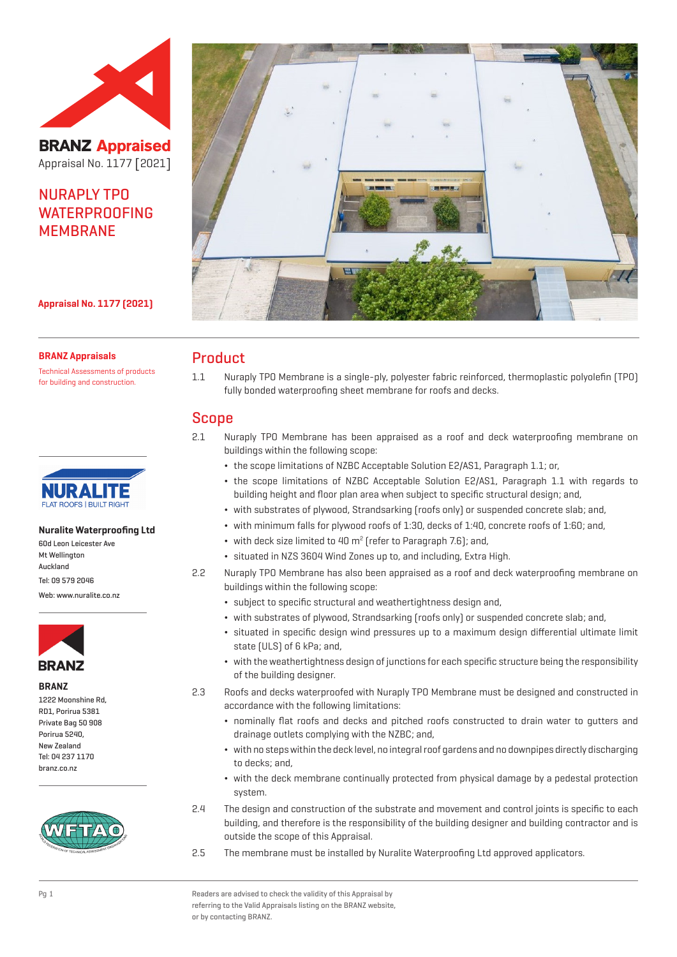

**BRANZ Appraised** Appraisal No. 1177 [2021]

# NURAPLY TPO **WATERPROOFING** MEMBRANE



**Appraisal No. 1177 (2021)**

#### **BRANZ Appraisals**

Technical Assessments of products for building and construction.



#### **Nuralite Waterproofing Ltd**

60d Leon Leicester Ave Mt Wellington Auckland Tel: 09 579 2046

Web: www.nuralite.co.nz



#### **BRANZ**

1222 Moonshine Rd, RD1, Porirua 5381 Private Bag 50 908 Porirua 5240, New Zealand Tel: 04 237 1170 branz.co.nz



# Product

1.1 Nuraply TPO Membrane is a single-ply, polyester fabric reinforced, thermoplastic polyolefin (TPO) fully bonded waterproofing sheet membrane for roofs and decks.

### Scope

- 2.1 Nuraply TPO Membrane has been appraised as a roof and deck waterproofing membrane on buildings within the following scope:
	- ¬ the scope limitations of NZBC Acceptable Solution E2/AS1, Paragraph 1.1; or,
	- ¬ the scope limitations of NZBC Acceptable Solution E2/AS1, Paragraph 1.1 with regards to building height and floor plan area when subject to specific structural design; and,
	- ¬ with substrates of plywood, Strandsarking (roofs only) or suspended concrete slab; and,
	- ¬ with minimum falls for plywood roofs of 1:30, decks of 1:40, concrete roofs of 1:60; and,
	- $\bullet\;$  with deck size limited to 40 m<sup>2</sup> (refer to Paragraph 7.6); and,
	- ¬ situated in NZS 3604 Wind Zones up to, and including, Extra High.
- 2.2 Nuraply TPO Membrane has also been appraised as a roof and deck waterproofing membrane on buildings within the following scope:
	- ¬ subject to specific structural and weathertightness design and,
	- ¬ with substrates of plywood, Strandsarking (roofs only) or suspended concrete slab; and,
	- ¬ situated in specific design wind pressures up to a maximum design differential ultimate limit state (ULS) of 6 kPa; and,
	- ¬ with the weathertightness design of junctions for each specific structure being the responsibility of the building designer.
- 2.3 Roofs and decks waterproofed with Nuraply TPO Membrane must be designed and constructed in accordance with the following limitations:
	- ¬ nominally flat roofs and decks and pitched roofs constructed to drain water to gutters and drainage outlets complying with the NZBC; and,
	- ¬ with no steps within the deck level, no integral roof gardens and no downpipes directly discharging to decks; and,
	- ¬ with the deck membrane continually protected from physical damage by a pedestal protection system.
- 2.4 The design and construction of the substrate and movement and control joints is specific to each building, and therefore is the responsibility of the building designer and building contractor and is outside the scope of this Appraisal.
- 2.5 The membrane must be installed by Nuralite Waterproofing Ltd approved applicators.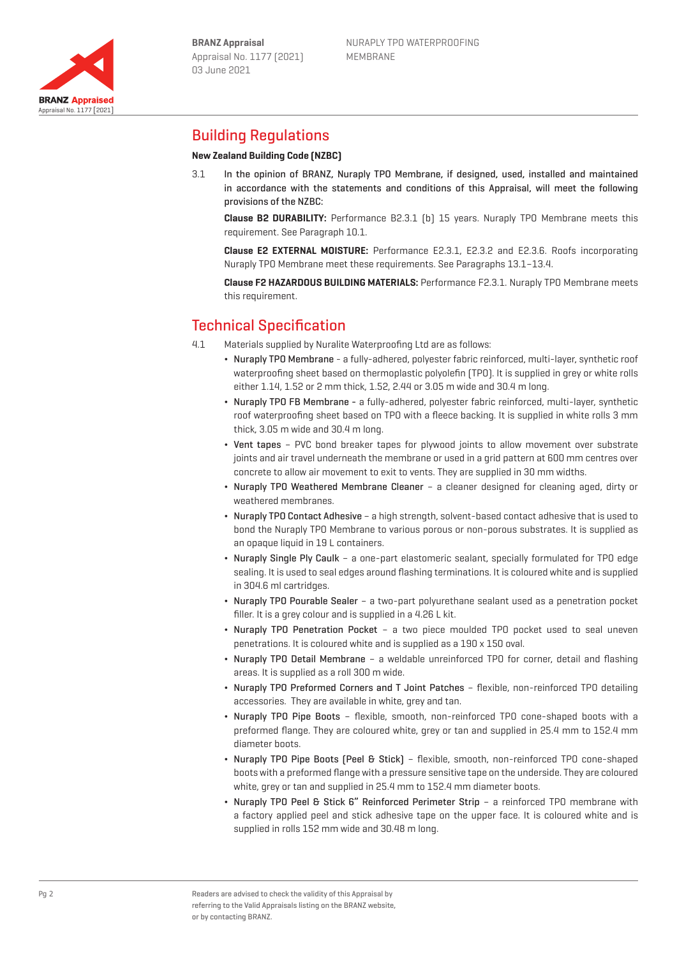

# Building Regulations

### **New Zealand Building Code (NZBC)**

3.1 In the opinion of BRANZ, Nuraply TPO Membrane, if designed, used, installed and maintained in accordance with the statements and conditions of this Appraisal, will meet the following provisions of the NZBC:

**Clause B2 DURABILITY:** Performance B2.3.1 (b) 15 years. Nuraply TPO Membrane meets this requirement. See Paragraph 10.1.

**Clause E2 EXTERNAL MOISTURE:** Performance E2.3.1, E2.3.2 and E2.3.6. Roofs incorporating Nuraply TPO Membrane meet these requirements. See Paragraphs 13.1–13.4.

**Clause F2 HAZARDOUS BUILDING MATERIALS:** Performance F2.3.1. Nuraply TPO Membrane meets this requirement.

# Technical Specification

- 4.1 Materials supplied by Nuralite Waterproofing Ltd are as follows:
	- ¬ Nuraply TPO Membrane a fully-adhered, polyester fabric reinforced, multi-layer, synthetic roof waterproofing sheet based on thermoplastic polyolefin (TPO). It is supplied in grey or white rolls either 1.14, 1.52 or 2 mm thick, 1.52, 2.44 or 3.05 m wide and 30.4 m long.
	- ¬ Nuraply TPO FB Membrane a fully-adhered, polyester fabric reinforced, multi-layer, synthetic roof waterproofing sheet based on TPO with a fleece backing. It is supplied in white rolls 3 mm thick, 3.05 m wide and 30.4 m long.
	- Vent tapes PVC bond breaker tapes for plywood joints to allow movement over substrate joints and air travel underneath the membrane or used in a grid pattern at 600 mm centres over concrete to allow air movement to exit to vents. They are supplied in 30 mm widths.
	- ¬ Nuraply TPO Weathered Membrane Cleaner a cleaner designed for cleaning aged, dirty or weathered membranes.
	- ¬ Nuraply TPO Contact Adhesive a high strength, solvent-based contact adhesive that is used to bond the Nuraply TPO Membrane to various porous or non-porous substrates. It is supplied as an opaque liquid in 19 L containers.
	- ¬ Nuraply Single Ply Caulk a one-part elastomeric sealant, specially formulated for TPO edge sealing. It is used to seal edges around flashing terminations. It is coloured white and is supplied in 304.6 ml cartridges.
	- ¬ Nuraply TPO Pourable Sealer a two-part polyurethane sealant used as a penetration pocket filler. It is a grey colour and is supplied in a 4.26 L kit.
	- ¬ Nuraply TPO Penetration Pocket a two piece moulded TPO pocket used to seal uneven penetrations. It is coloured white and is supplied as a 190 x 150 oval.
	- ¬ Nuraply TPO Detail Membrane a weldable unreinforced TPO for corner, detail and flashing areas. It is supplied as a roll 300 m wide.
	- ¬ Nuraply TPO Preformed Corners and T Joint Patches flexible, non-reinforced TPO detailing accessories. They are available in white, grey and tan.
	- ¬ Nuraply TPO Pipe Boots flexible, smooth, non-reinforced TPO cone-shaped boots with a preformed flange. They are coloured white, grey or tan and supplied in 25.4 mm to 152.4 mm diameter boots.
	- ¬ Nuraply TPO Pipe Boots (Peel & Stick) flexible, smooth, non-reinforced TPO cone-shaped boots with a preformed flange with a pressure sensitive tape on the underside. They are coloured white, grey or tan and supplied in 25.4 mm to 152.4 mm diameter boots.
	- ¬ Nuraply TPO Peel & Stick 6" Reinforced Perimeter Strip a reinforced TPO membrane with a factory applied peel and stick adhesive tape on the upper face. It is coloured white and is supplied in rolls 152 mm wide and 30.48 m long.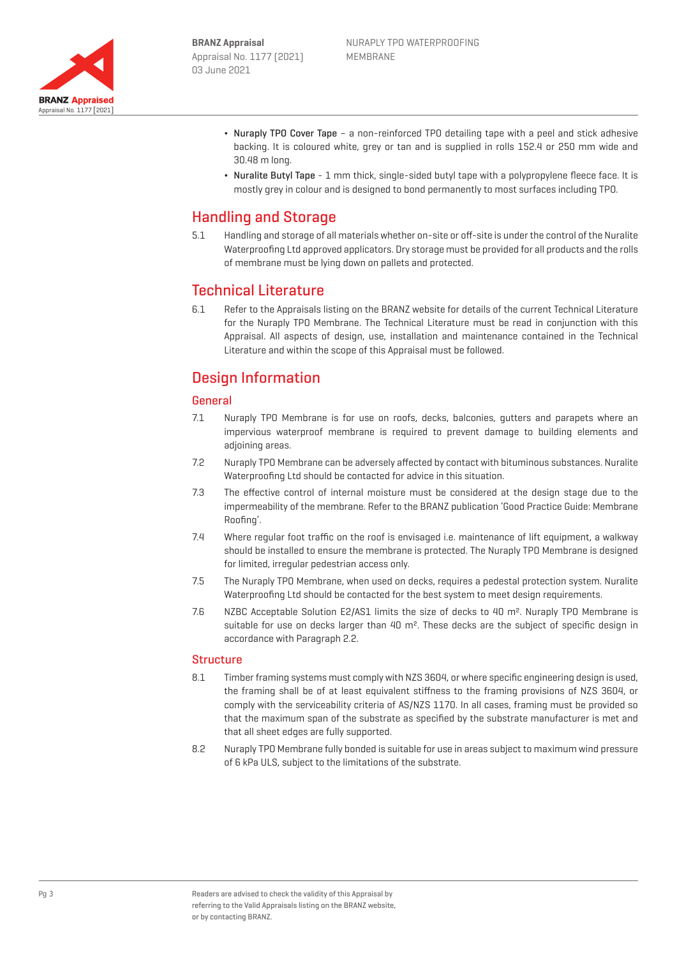

- ¬ Nuraply TPO Cover Tape a non-reinforced TPO detailing tape with a peel and stick adhesive backing. It is coloured white, grey or tan and is supplied in rolls 152.4 or 250 mm wide and 30.48 m long.
- ¬ Nuralite Butyl Tape 1 mm thick, single-sided butyl tape with a polypropylene fleece face. It is mostly grey in colour and is designed to bond permanently to most surfaces including TPO.

# Handling and Storage

5.1 Handling and storage of all materials whether on-site or off-site is under the control of the Nuralite Waterproofing Ltd approved applicators. Dry storage must be provided for all products and the rolls of membrane must be lying down on pallets and protected.

# Technical Literature

6.1 Refer to the Appraisals listing on the BRANZ website for details of the current Technical Literature for the Nuraply TPO Membrane. The Technical Literature must be read in conjunction with this Appraisal. All aspects of design, use, installation and maintenance contained in the Technical Literature and within the scope of this Appraisal must be followed.

# Design Information

### General

- 7.1 Nuraply TPO Membrane is for use on roofs, decks, balconies, gutters and parapets where an impervious waterproof membrane is required to prevent damage to building elements and adjoining areas.
- 7.2 Nuraply TPO Membrane can be adversely affected by contact with bituminous substances. Nuralite Waterproofing Ltd should be contacted for advice in this situation.
- 7.3 The effective control of internal moisture must be considered at the design stage due to the impermeability of the membrane. Refer to the BRANZ publication 'Good Practice Guide: Membrane Roofing'.
- 7.4 Where regular foot traffic on the roof is envisaged i.e. maintenance of lift equipment, a walkway should be installed to ensure the membrane is protected. The Nuraply TPO Membrane is designed for limited, irregular pedestrian access only.
- 7.5 The Nuraply TPO Membrane, when used on decks, requires a pedestal protection system. Nuralite Waterproofing Ltd should be contacted for the best system to meet design requirements.
- 7.6 NZBC Acceptable Solution E2/AS1 limits the size of decks to 40 m². Nuraply TPO Membrane is suitable for use on decks larger than 40 m². These decks are the subject of specific design in accordance with Paragraph 2.2.

### **Structure**

- 8.1 Timber framing systems must comply with NZS 3604, or where specific engineering design is used, the framing shall be of at least equivalent stiffness to the framing provisions of NZS 3604, or comply with the serviceability criteria of AS/NZS 1170. In all cases, framing must be provided so that the maximum span of the substrate as specified by the substrate manufacturer is met and that all sheet edges are fully supported.
- 8.2 Nuraply TPO Membrane fully bonded is suitable for use in areas subject to maximum wind pressure of 6 kPa ULS, subject to the limitations of the substrate.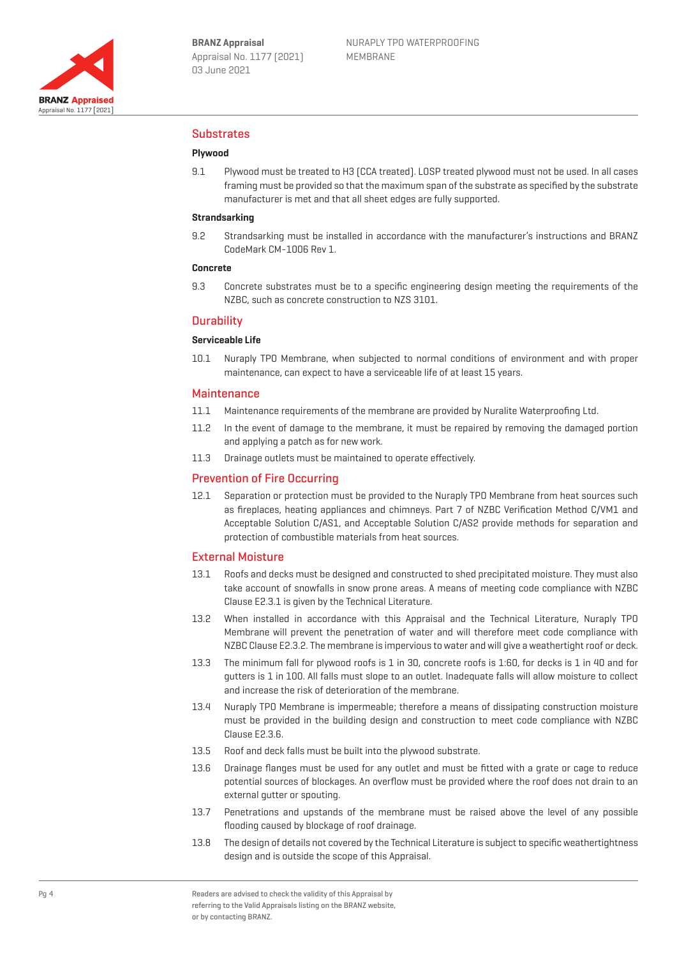

### Substrates

### **Plywood**

9.1 Plywood must be treated to H3 (CCA treated). LOSP treated plywood must not be used. In all cases framing must be provided so that the maximum span of the substrate as specified by the substrate manufacturer is met and that all sheet edges are fully supported.

#### **Strandsarking**

9.2 Strandsarking must be installed in accordance with the manufacturer's instructions and BRANZ CodeMark CM-1006 Rev 1.

#### **Concrete**

9.3 Concrete substrates must be to a specific engineering design meeting the requirements of the NZBC, such as concrete construction to NZS 3101.

#### **Durability**

#### **Serviceable Life**

10.1 Nuraply TPO Membrane, when subjected to normal conditions of environment and with proper maintenance, can expect to have a serviceable life of at least 15 years.

#### Maintenance

- 11.1 Maintenance requirements of the membrane are provided by Nuralite Waterproofing Ltd.
- 11.2 In the event of damage to the membrane, it must be repaired by removing the damaged portion and applying a patch as for new work.
- 11.3 Drainage outlets must be maintained to operate effectively.

#### Prevention of Fire Occurring

12.1 Separation or protection must be provided to the Nuraply TPO Membrane from heat sources such as fireplaces, heating appliances and chimneys. Part 7 of NZBC Verification Method C/VM1 and Acceptable Solution C/AS1, and Acceptable Solution C/AS2 provide methods for separation and protection of combustible materials from heat sources.

#### External Moisture

- 13.1 Roofs and decks must be designed and constructed to shed precipitated moisture. They must also take account of snowfalls in snow prone areas. A means of meeting code compliance with NZBC Clause E2.3.1 is given by the Technical Literature.
- 13.2 When installed in accordance with this Appraisal and the Technical Literature, Nuraply TPO Membrane will prevent the penetration of water and will therefore meet code compliance with NZBC Clause E2.3.2. The membrane is impervious to water and will give a weathertight roof or deck.
- 13.3 The minimum fall for plywood roofs is 1 in 30, concrete roofs is 1:60, for decks is 1 in 40 and for gutters is 1 in 100. All falls must slope to an outlet. Inadequate falls will allow moisture to collect and increase the risk of deterioration of the membrane.
- 13.4 Nuraply TPO Membrane is impermeable; therefore a means of dissipating construction moisture must be provided in the building design and construction to meet code compliance with NZBC Clause E2.3.6.
- 13.5 Roof and deck falls must be built into the plywood substrate.
- 13.6 Drainage flanges must be used for any outlet and must be fitted with a grate or cage to reduce potential sources of blockages. An overflow must be provided where the roof does not drain to an external gutter or spouting.
- 13.7 Penetrations and upstands of the membrane must be raised above the level of any possible flooding caused by blockage of roof drainage.
- 13.8 The design of details not covered by the Technical Literature is subject to specific weathertightness design and is outside the scope of this Appraisal.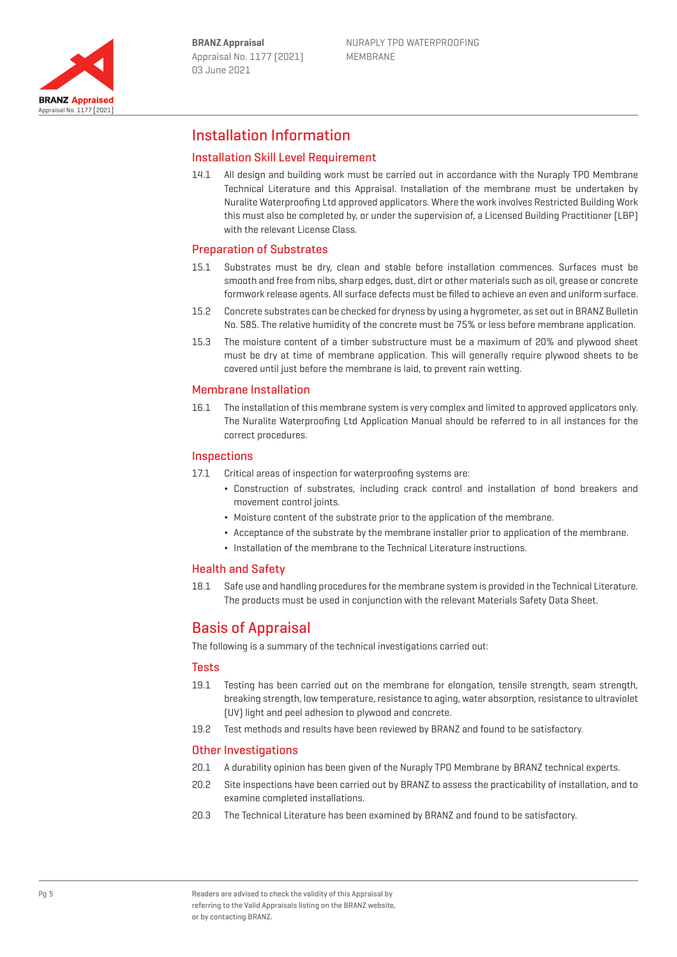

# Installation Information

### Installation Skill Level Requirement

14.1 All design and building work must be carried out in accordance with the Nuraply TPO Membrane Technical Literature and this Appraisal. Installation of the membrane must be undertaken by Nuralite Waterproofing Ltd approved applicators. Where the work involves Restricted Building Work this must also be completed by, or under the supervision of, a Licensed Building Practitioner (LBP) with the relevant License Class.

### Preparation of Substrates

- 15.1 Substrates must be dry, clean and stable before installation commences. Surfaces must be smooth and free from nibs, sharp edges, dust, dirt or other materials such as oil, grease or concrete formwork release agents. All surface defects must be filled to achieve an even and uniform surface.
- 15.2 Concrete substrates can be checked for dryness by using a hygrometer, as set out in BRANZ Bulletin No. 585. The relative humidity of the concrete must be 75% or less before membrane application.
- 15.3 The moisture content of a timber substructure must be a maximum of 20% and plywood sheet must be dry at time of membrane application. This will generally require plywood sheets to be covered until just before the membrane is laid, to prevent rain wetting.

#### Membrane Installation

16.1 The installation of this membrane system is very complex and limited to approved applicators only. The Nuralite Waterproofing Ltd Application Manual should be referred to in all instances for the correct procedures.

#### **Inspections**

- 17.1 Critical areas of inspection for waterproofing systems are:
	- ¬ Construction of substrates, including crack control and installation of bond breakers and movement control joints.
	- ¬ Moisture content of the substrate prior to the application of the membrane.
	- ¬ Acceptance of the substrate by the membrane installer prior to application of the membrane.
	- ¬ Installation of the membrane to the Technical Literature instructions.

### Health and Safety

18.1 Safe use and handling procedures for the membrane system is provided in the Technical Literature. The products must be used in conjunction with the relevant Materials Safety Data Sheet.

# Basis of Appraisal

The following is a summary of the technical investigations carried out:

#### Tests

- 19.1 Testing has been carried out on the membrane for elongation, tensile strength, seam strength, breaking strength, low temperature, resistance to aging, water absorption, resistance to ultraviolet (UV) light and peel adhesion to plywood and concrete.
- 19.2 Test methods and results have been reviewed by BRANZ and found to be satisfactory.

#### Other Investigations

- 20.1 A durability opinion has been given of the Nuraply TPO Membrane by BRANZ technical experts.
- 20.2 Site inspections have been carried out by BRANZ to assess the practicability of installation, and to examine completed installations.
- 20.3 The Technical Literature has been examined by BRANZ and found to be satisfactory.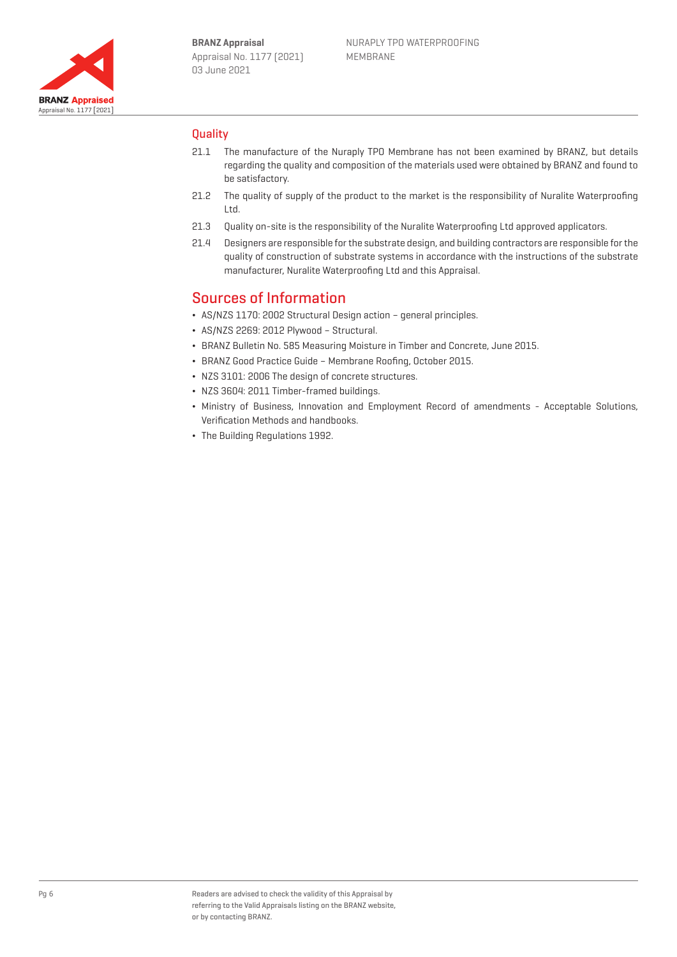

### **Ouality**

- 21.1 The manufacture of the Nuraply TPO Membrane has not been examined by BRANZ, but details regarding the quality and composition of the materials used were obtained by BRANZ and found to be satisfactory.
- 21.2 The quality of supply of the product to the market is the responsibility of Nuralite Waterproofing Ltd.
- 21.3 Quality on-site is the responsibility of the Nuralite Waterproofing Ltd approved applicators.
- 21.4 Designers are responsible for the substrate design, and building contractors are responsible for the quality of construction of substrate systems in accordance with the instructions of the substrate manufacturer, Nuralite Waterproofing Ltd and this Appraisal.

## Sources of Information

- ¬ AS/NZS 1170: 2002 Structural Design action general principles.
- ¬ AS/NZS 2269: 2012 Plywood Structural.
- ¬ BRANZ Bulletin No. 585 Measuring Moisture in Timber and Concrete, June 2015.
- ¬ BRANZ Good Practice Guide Membrane Roofing, October 2015.
- ¬ NZS 3101: 2006 The design of concrete structures.
- ¬ NZS 3604: 2011 Timber-framed buildings.
- ¬ Ministry of Business, Innovation and Employment Record of amendments Acceptable Solutions, Verification Methods and handbooks.
- ¬ The Building Regulations 1992.